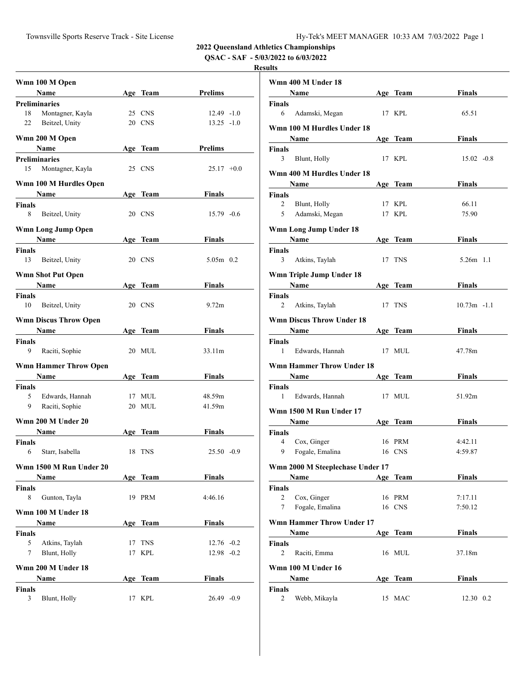**2022 Queensland Athletics Championships**

**QSAC - SAF - 5/03/2022 to 6/03/2022**

## **Results**

|                    | Wmn 100 M Open               |    |            |                   |  |
|--------------------|------------------------------|----|------------|-------------------|--|
|                    | <b>Name</b>                  |    | Age Team   | Prelims           |  |
|                    | <b>Preliminaries</b>         |    |            |                   |  |
| 18                 | Montagner, Kayla             |    | 25 CNS     | $12.49 - 1.0$     |  |
| 22                 | Beitzel, Unity               |    | 20 CNS     | $13.25 - 1.0$     |  |
|                    |                              |    |            |                   |  |
|                    | Wmn 200 M Open               |    |            |                   |  |
|                    | <b>Name</b>                  |    | Age Team   | Prelims           |  |
|                    | <b>Preliminaries</b>         |    |            |                   |  |
| 15                 | Montagner, Kayla             |    | 25 CNS     | $25.17 +0.0$      |  |
|                    | Wmn 100 M Hurdles Open       |    |            |                   |  |
|                    | Name                         |    | Age Team   | <b>Finals</b>     |  |
| <b>Finals</b>      |                              |    |            |                   |  |
| 8                  | Beitzel, Unity               |    | 20 CNS     | $15.79 - 0.6$     |  |
|                    |                              |    |            |                   |  |
|                    | Wmn Long Jump Open           |    |            |                   |  |
|                    | <b>Name</b>                  |    | Age Team   | Finals            |  |
| <b>Finals</b>      |                              |    |            |                   |  |
| 13                 | Beitzel, Unity               |    | 20 CNS     | $5.05m$ 0.2       |  |
|                    | <b>Wmn Shot Put Open</b>     |    |            |                   |  |
|                    | <b>Name</b>                  |    | Age Team   | Finals            |  |
| <b>Finals</b>      |                              |    |            |                   |  |
| 10                 | Beitzel, Unity               |    | 20 CNS     | 9.72 <sub>m</sub> |  |
|                    |                              |    |            |                   |  |
|                    | <b>Wmn Discus Throw Open</b> |    |            |                   |  |
|                    | Name                         |    | Age Team   | Finals            |  |
| Finals             |                              |    |            |                   |  |
| 9                  | Raciti, Sophie               |    | 20 MUL     | 33.11m            |  |
|                    | <b>Wmn Hammer Throw Open</b> |    |            |                   |  |
|                    | <b>Name</b>                  |    | Age Team   | Finals            |  |
| <b>Finals</b>      |                              |    |            |                   |  |
| 5.                 | Edwards, Hannah              |    | 17 MUL     | 48.59m            |  |
| 9                  | Raciti, Sophie               |    | 20 MUL     | 41.59m            |  |
|                    |                              |    |            |                   |  |
|                    | Wmn 200 M Under 20           |    |            |                   |  |
|                    | Name                         |    | Age Team   | Finals            |  |
| <b>Finals</b>      |                              |    |            |                   |  |
| 6                  | Starr, Isabella              |    | 18 TNS     | $25.50 -0.9$      |  |
|                    | Wmn 1500 M Run Under 20      |    |            |                   |  |
|                    |                              |    |            |                   |  |
|                    | Name                         |    | Age Team   | <b>Finals</b>     |  |
| <b>Finals</b><br>8 | Gunton, Tayla                |    | 19 PRM     | 4:46.16           |  |
|                    |                              |    |            |                   |  |
|                    | Wmn 100 M Under 18           |    |            |                   |  |
|                    | Name                         |    | Age Team   | <b>Finals</b>     |  |
| Finals             |                              |    |            |                   |  |
| 5                  | Atkins, Taylah               | 17 | <b>TNS</b> | $12.76 - 0.2$     |  |
| 7                  | Blunt, Holly                 | 17 | <b>KPL</b> | $12.98 - 0.2$     |  |
|                    |                              |    |            |                   |  |
|                    | Wmn 200 M Under 18           |    |            |                   |  |
|                    | Name                         |    | Age Team   | Finals            |  |
| Finals             |                              |    |            |                   |  |
| 3                  | Blunt, Holly                 |    | 17 KPL     | $26.49 -0.9$      |  |

| Wmn 400 M Under 18                                                                                                                                                                                                                                                                                                                                                                                                                                                    |    |            |               |  |
|-----------------------------------------------------------------------------------------------------------------------------------------------------------------------------------------------------------------------------------------------------------------------------------------------------------------------------------------------------------------------------------------------------------------------------------------------------------------------|----|------------|---------------|--|
| <b>Name</b><br>$\label{eq:2.1} \frac{1}{\sqrt{2}}\left(\frac{1}{\sqrt{2}}\right)^{2} \left(\frac{1}{\sqrt{2}}\right)^{2} \left(\frac{1}{\sqrt{2}}\right)^{2} \left(\frac{1}{\sqrt{2}}\right)^{2} \left(\frac{1}{\sqrt{2}}\right)^{2} \left(\frac{1}{\sqrt{2}}\right)^{2} \left(\frac{1}{\sqrt{2}}\right)^{2} \left(\frac{1}{\sqrt{2}}\right)^{2} \left(\frac{1}{\sqrt{2}}\right)^{2} \left(\frac{1}{\sqrt{2}}\right)^{2} \left(\frac{1}{\sqrt{2}}\right)^{2} \left(\$ |    | Age Team   | <b>Finals</b> |  |
| Finals                                                                                                                                                                                                                                                                                                                                                                                                                                                                |    |            |               |  |
| 6<br>Adamski, Megan                                                                                                                                                                                                                                                                                                                                                                                                                                                   |    | 17 KPL     | 65.51         |  |
| Wmn 100 M Hurdles Under 18<br><b>Name</b>                                                                                                                                                                                                                                                                                                                                                                                                                             |    | Age Team   | <b>Finals</b> |  |
| Finals                                                                                                                                                                                                                                                                                                                                                                                                                                                                |    |            |               |  |
| 3<br>Blunt, Holly                                                                                                                                                                                                                                                                                                                                                                                                                                                     |    | 17 KPL     | $15.02 -0.8$  |  |
| Wmn 400 M Hurdles Under 18                                                                                                                                                                                                                                                                                                                                                                                                                                            |    |            |               |  |
| Name                                                                                                                                                                                                                                                                                                                                                                                                                                                                  |    | Age Team   | <b>Finals</b> |  |
| Finals                                                                                                                                                                                                                                                                                                                                                                                                                                                                |    |            |               |  |
| 2<br>Blunt, Holly                                                                                                                                                                                                                                                                                                                                                                                                                                                     |    | 17 KPL     | 66.11         |  |
| Adamski, Megan<br>5 <sup>5</sup>                                                                                                                                                                                                                                                                                                                                                                                                                                      |    | 17 KPL     | 75.90         |  |
| Wmn Long Jump Under 18<br>Name                                                                                                                                                                                                                                                                                                                                                                                                                                        |    | Age Team   | Finals        |  |
| Finals                                                                                                                                                                                                                                                                                                                                                                                                                                                                |    |            |               |  |
| 3<br>Atkins, Taylah                                                                                                                                                                                                                                                                                                                                                                                                                                                   |    | 17 TNS     | $5.26m$ 1.1   |  |
| Wmn Triple Jump Under 18                                                                                                                                                                                                                                                                                                                                                                                                                                              |    |            |               |  |
| <b>Name</b>                                                                                                                                                                                                                                                                                                                                                                                                                                                           |    | Age Team   | Finals        |  |
| Finals                                                                                                                                                                                                                                                                                                                                                                                                                                                                |    |            |               |  |
| 2<br>Atkins, Taylah                                                                                                                                                                                                                                                                                                                                                                                                                                                   |    | 17 TNS     | $10.73m -1.1$ |  |
| <b>Wmn Discus Throw Under 18</b>                                                                                                                                                                                                                                                                                                                                                                                                                                      |    |            |               |  |
| Name                                                                                                                                                                                                                                                                                                                                                                                                                                                                  |    | Age Team   | Finals        |  |
| Finals                                                                                                                                                                                                                                                                                                                                                                                                                                                                |    |            |               |  |
| $\mathbf{1}$<br>Edwards, Hannah                                                                                                                                                                                                                                                                                                                                                                                                                                       |    | 17 MUL     | 47.78m        |  |
| <b>Wmn Hammer Throw Under 18</b>                                                                                                                                                                                                                                                                                                                                                                                                                                      |    |            |               |  |
| Name and the same state of the state of the state of the state of the state of the state of the state of the state of the state of the state of the state of the state of the state of the state of the state of the state of                                                                                                                                                                                                                                         |    | Age Team   | <b>Finals</b> |  |
| Finals<br>1<br>Edwards, Hannah                                                                                                                                                                                                                                                                                                                                                                                                                                        |    | 17 MUL     | 51.92m        |  |
| Wmn 1500 M Run Under 17                                                                                                                                                                                                                                                                                                                                                                                                                                               |    |            |               |  |
| Name Name                                                                                                                                                                                                                                                                                                                                                                                                                                                             |    | Age Team   | <b>Finals</b> |  |
| Finals                                                                                                                                                                                                                                                                                                                                                                                                                                                                |    |            |               |  |
| 4<br>Cox, Ginger                                                                                                                                                                                                                                                                                                                                                                                                                                                      |    | 16 PRM     | 4:42.11       |  |
| 9 Fogale, Emalina                                                                                                                                                                                                                                                                                                                                                                                                                                                     |    | 16 CNS     | 4:59.87       |  |
| Wmn 2000 M Steeplechase Under 17                                                                                                                                                                                                                                                                                                                                                                                                                                      |    |            |               |  |
| Name                                                                                                                                                                                                                                                                                                                                                                                                                                                                  |    | Age Team   | <b>Finals</b> |  |
| Finals                                                                                                                                                                                                                                                                                                                                                                                                                                                                |    |            |               |  |
| Cox, Ginger<br>2                                                                                                                                                                                                                                                                                                                                                                                                                                                      |    | 16 PRM     | 7:17.11       |  |
| Fogale, Emalina<br>7                                                                                                                                                                                                                                                                                                                                                                                                                                                  |    | 16 CNS     | 7:50.12       |  |
| <b>Wmn Hammer Throw Under 17</b>                                                                                                                                                                                                                                                                                                                                                                                                                                      |    |            |               |  |
| Name                                                                                                                                                                                                                                                                                                                                                                                                                                                                  |    | Age Team   | <b>Finals</b> |  |
| Finals<br>$\overline{c}$<br>Raciti, Emma                                                                                                                                                                                                                                                                                                                                                                                                                              |    | 16 MUL     | 37.18m        |  |
|                                                                                                                                                                                                                                                                                                                                                                                                                                                                       |    |            |               |  |
| Wmn 100 M Under 16                                                                                                                                                                                                                                                                                                                                                                                                                                                    |    |            |               |  |
| Name<br>Finals                                                                                                                                                                                                                                                                                                                                                                                                                                                        |    | Age Team   | <b>Finals</b> |  |
| 2<br>Webb, Mikayla                                                                                                                                                                                                                                                                                                                                                                                                                                                    | 15 | <b>MAC</b> | 12.30 0.2     |  |
|                                                                                                                                                                                                                                                                                                                                                                                                                                                                       |    |            |               |  |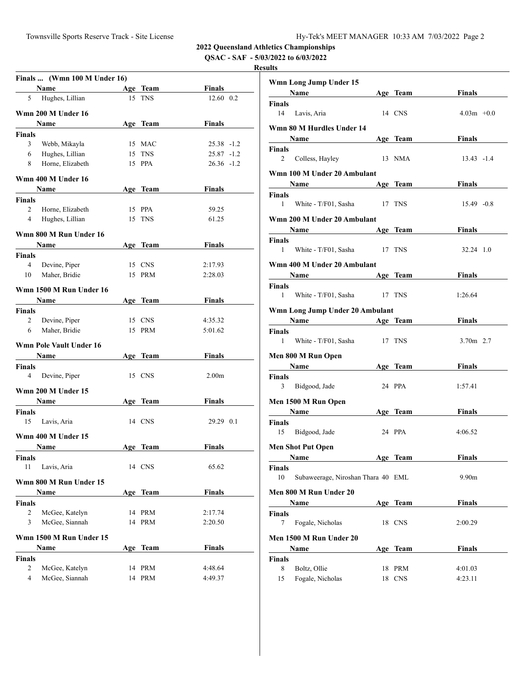**2022 Queensland Athletics Championships**

**QSAC - SAF - 5/03/2022 to 6/03/2022**

## **Results**

|                | Finals  (Wmn 100 M Under 16)   |     |             |                   |
|----------------|--------------------------------|-----|-------------|-------------------|
|                | Name                           |     | Age Team    | Finals            |
| 5              | Hughes, Lillian                |     | 15 TNS      | $12.60 \quad 0.2$ |
|                | Wmn 200 M Under 16             |     |             |                   |
|                | Name                           |     | Age Team    | <b>Finals</b>     |
| Finals         |                                |     |             |                   |
| 3              | Webb, Mikayla                  |     | 15 MAC      | 25.38 -1.2        |
| 6              | Hughes, Lillian                |     | 15 TNS      | $25.87 - 1.2$     |
| 8              | Horne, Elizabeth               |     | 15 PPA      | $26.36 - 1.2$     |
|                |                                |     |             |                   |
|                | Wmn 400 M Under 16             |     |             |                   |
|                | Name                           |     | Age Team    | Finals            |
| Finals         |                                |     |             |                   |
| $\overline{2}$ | Horne, Elizabeth               |     | 15 PPA      | 59.25             |
| $\overline{4}$ | Hughes, Lillian                |     | 15 TNS      | 61.25             |
|                | Wmn 800 M Run Under 16         |     |             |                   |
|                | Name                           |     | Age Team    | <b>Finals</b>     |
| <b>Finals</b>  |                                |     |             |                   |
| 4              | Devine, Piper                  |     | 15 CNS      | 2:17.93           |
| 10             | Maher, Bridie                  |     | 15 PRM      | 2:28.03           |
|                |                                |     |             |                   |
|                | Wmn 1500 M Run Under 16        |     |             |                   |
|                | Name                           |     | Age Team    | Finals            |
| Finals         |                                |     |             |                   |
| $\overline{2}$ | Devine, Piper                  |     | 15 CNS      | 4:35.32           |
| 6              | Maher, Bridie                  |     | 15 PRM      | 5:01.62           |
|                | <b>Wmn Pole Vault Under 16</b> |     |             |                   |
|                | Name                           |     | Age Team    | Finals            |
| Finals         |                                |     |             |                   |
| $\overline{4}$ | Devine, Piper                  |     | 15 CNS      | 2.00 <sub>m</sub> |
|                |                                |     |             |                   |
|                | Wmn 200 M Under 15             |     |             |                   |
|                | Name                           |     | Age Team    | Finals            |
| Finals         |                                |     |             |                   |
| 15             | Lavis, Aria                    |     | 14 CNS      | 29.29 0.1         |
|                | Wmn 400 M Under 15             |     |             |                   |
|                | Name                           |     | Age Team    | <b>Finals</b>     |
| Finals         |                                |     |             |                   |
| 11             | Lavis, Aria                    |     | 14 CNS      | 65.62             |
|                |                                |     |             |                   |
|                | Wmn 800 M Run Under 15         |     |             |                   |
|                | Name                           |     | Age Team    | <b>Finals</b>     |
| Finals         |                                |     |             |                   |
| 2              | McGee, Katelyn                 |     | 14 PRM      | 2:17.74           |
| 3              | McGee, Siannah                 |     | 14 PRM      | 2:20.50           |
|                | Wmn 1500 M Run Under 15        |     |             |                   |
|                | Name                           | Age | <b>Team</b> | <b>Finals</b>     |
| <b>Finals</b>  |                                |     |             |                   |
| 2              | McGee, Katelyn                 |     | 14 PRM      | 4:48.64           |
| 4              | McGee, Siannah                 |     | 14 PRM      | 4:49.37           |
|                |                                |     |             |                   |

|               | Wmn Long Jump Under 15                                                                                                                                                                                                                                           |        |            |                   |  |
|---------------|------------------------------------------------------------------------------------------------------------------------------------------------------------------------------------------------------------------------------------------------------------------|--------|------------|-------------------|--|
|               | <b>Name</b>                                                                                                                                                                                                                                                      |        | Age Team   | <b>Finals</b>     |  |
| Finals        |                                                                                                                                                                                                                                                                  |        |            |                   |  |
| 14            | Lavis, Aria                                                                                                                                                                                                                                                      |        | 14 CNS     | $4.03m +0.0$      |  |
|               | Wmn 80 M Hurdles Under 14                                                                                                                                                                                                                                        |        |            |                   |  |
|               | <b>Name</b>                                                                                                                                                                                                                                                      |        | Age Team   | <b>Finals</b>     |  |
| Finals        |                                                                                                                                                                                                                                                                  |        |            |                   |  |
| 2             | Colless, Hayley                                                                                                                                                                                                                                                  |        | 13 NMA     | $13.43 - 1.4$     |  |
|               | Wmn 100 M Under 20 Ambulant                                                                                                                                                                                                                                      |        |            |                   |  |
|               | Name                                                                                                                                                                                                                                                             |        | Age Team   | Finals            |  |
| Finals        |                                                                                                                                                                                                                                                                  |        |            |                   |  |
| 1             | White - T/F01, Sasha                                                                                                                                                                                                                                             | 17 TNS |            | $15.49 - 0.8$     |  |
|               | Wmn 200 M Under 20 Ambulant                                                                                                                                                                                                                                      |        |            |                   |  |
|               | Name<br>the control of the control of the control                                                                                                                                                                                                                |        | Age Team   | Finals            |  |
| Finals        |                                                                                                                                                                                                                                                                  |        |            |                   |  |
| 1             | White - T/F01, Sasha 17 TNS                                                                                                                                                                                                                                      |        |            | 32.24 1.0         |  |
|               | Wmn 400 M Under 20 Ambulant                                                                                                                                                                                                                                      |        |            |                   |  |
|               | <b>Name</b>                                                                                                                                                                                                                                                      |        | Age Team   | <b>Finals</b>     |  |
| Finals        |                                                                                                                                                                                                                                                                  |        |            |                   |  |
| 1             | White - T/F01, Sasha                                                                                                                                                                                                                                             |        | 17 TNS     | 1:26.64           |  |
|               |                                                                                                                                                                                                                                                                  |        |            |                   |  |
|               | Wmn Long Jump Under 20 Ambulant<br>Name and the same state of the state of the state of the state of the state of the state of the state of the state of the state of the state of the state of the state of the state of the state of the state of the state of |        | Age Team   | Finals            |  |
| Finals        |                                                                                                                                                                                                                                                                  |        |            |                   |  |
| 1             | White - T/F01, Sasha                                                                                                                                                                                                                                             |        | 17 TNS     | 3.70m 2.7         |  |
|               | Men 800 M Run Open                                                                                                                                                                                                                                               |        |            |                   |  |
|               | Name                                                                                                                                                                                                                                                             |        | Age Team   | Finals            |  |
| Finals        |                                                                                                                                                                                                                                                                  |        |            |                   |  |
| 3             | Bidgood, Jade                                                                                                                                                                                                                                                    |        | 24 PPA     | 1:57.41           |  |
|               | Men 1500 M Run Open                                                                                                                                                                                                                                              |        |            |                   |  |
|               | Name                                                                                                                                                                                                                                                             |        | Age Team   | Finals            |  |
| <b>Finals</b> |                                                                                                                                                                                                                                                                  |        |            |                   |  |
| 15            | Bidgood, Jade                                                                                                                                                                                                                                                    |        | 24 PPA     | 4:06.52           |  |
|               | <b>Men Shot Put Open</b>                                                                                                                                                                                                                                         |        |            |                   |  |
|               | Name                                                                                                                                                                                                                                                             |        | Age Team   | Finals            |  |
| Finals        |                                                                                                                                                                                                                                                                  |        |            |                   |  |
| 10            | Subaweerage, Niroshan Thara 40 EML                                                                                                                                                                                                                               |        |            | 9.90 <sub>m</sub> |  |
|               | Men 800 M Run Under 20                                                                                                                                                                                                                                           |        |            |                   |  |
|               | Name                                                                                                                                                                                                                                                             |        | Age Team   | Finals            |  |
| Finals        |                                                                                                                                                                                                                                                                  |        |            |                   |  |
| 7             | Fogale, Nicholas                                                                                                                                                                                                                                                 |        | 18 CNS     | 2:00.29           |  |
|               | Men 1500 M Run Under 20                                                                                                                                                                                                                                          |        |            |                   |  |
|               | Name                                                                                                                                                                                                                                                             |        | Age Team   | Finals            |  |
| Finals        |                                                                                                                                                                                                                                                                  |        |            |                   |  |
| 8             | Boltz, Ollie                                                                                                                                                                                                                                                     | 18     | PRM        | 4:01.03           |  |
| 15            | Fogale, Nicholas                                                                                                                                                                                                                                                 | 18     | <b>CNS</b> | 4:23.11           |  |